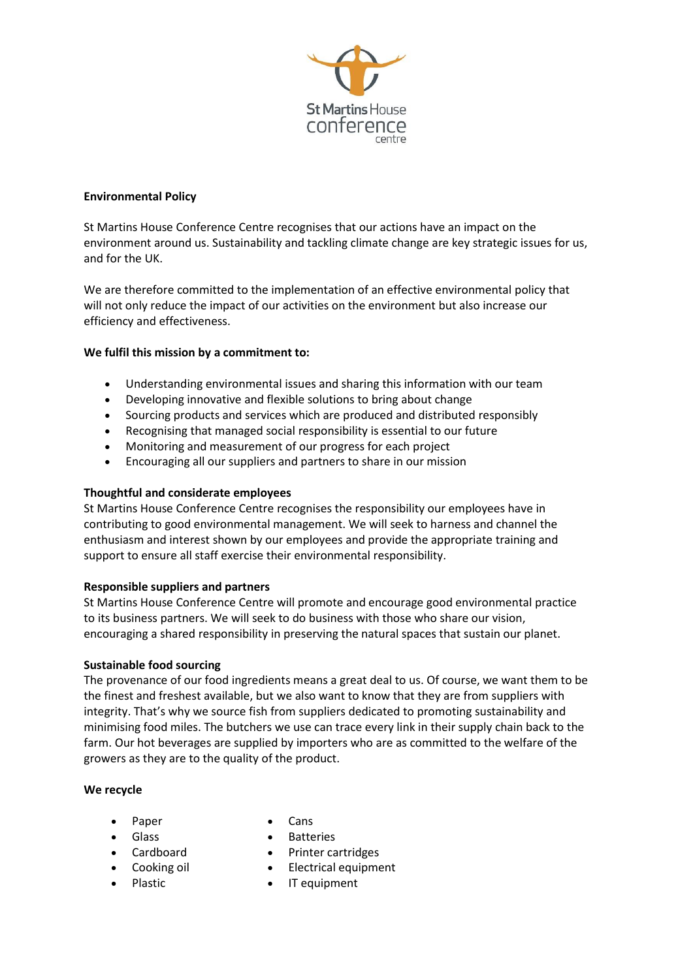

## **Environmental Policy**

St Martins House Conference Centre recognises that our actions have an impact on the environment around us. Sustainability and tackling climate change are key strategic issues for us, and for the UK.

We are therefore committed to the implementation of an effective environmental policy that will not only reduce the impact of our activities on the environment but also increase our efficiency and effectiveness.

# **We fulfil this mission by a commitment to:**

- Understanding environmental issues and sharing this information with our team
- Developing innovative and flexible solutions to bring about change
- Sourcing products and services which are produced and distributed responsibly
- Recognising that managed social responsibility is essential to our future
- Monitoring and measurement of our progress for each project
- Encouraging all our suppliers and partners to share in our mission

### **Thoughtful and considerate employees**

St Martins House Conference Centre recognises the responsibility our employees have in contributing to good environmental management. We will seek to harness and channel the enthusiasm and interest shown by our employees and provide the appropriate training and support to ensure all staff exercise their environmental responsibility.

### **Responsible suppliers and partners**

St Martins House Conference Centre will promote and encourage good environmental practice to its business partners. We will seek to do business with those who share our vision, encouraging a shared responsibility in preserving the natural spaces that sustain our planet.

### **Sustainable food sourcing**

The provenance of our food ingredients means a great deal to us. Of course, we want them to be the finest and freshest available, but we also want to know that they are from suppliers with integrity. That's why we source fish from suppliers dedicated to promoting sustainability and minimising food miles. The butchers we use can trace every link in their supply chain back to the farm. Our hot beverages are supplied by importers who are as committed to the welfare of the growers as they are to the quality of the product.

### **We recycle**

- Paper
- Glass
- Cardboard
- Cooking oil
- Plastic
- Cans
- Batteries
- Printer cartridges
- Electrical equipment
- IT equipment